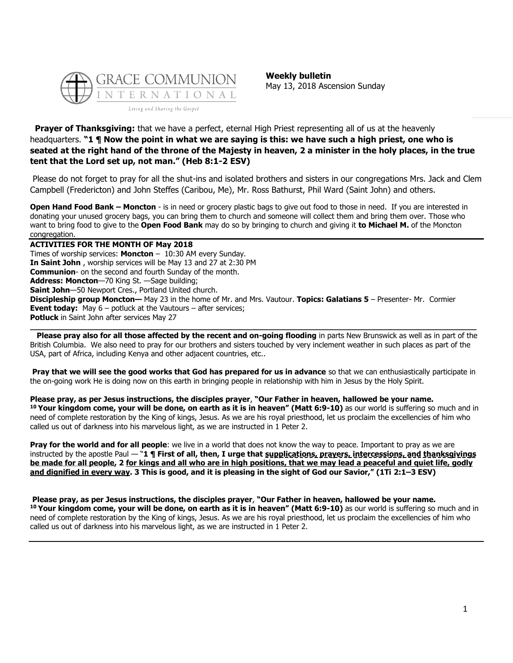

**Weekly bulletin** May 13, 2018 Ascension Sunday

### **Prayer of Thanksgiving:** that we have a perfect, eternal High Priest representing all of us at the heavenly headquarters. **"1 ¶ Now the point in what we are saying is this: we have such a high priest, one who is seated at the right hand of the throne of the Majesty in heaven, 2 a minister in the holy places, in the true tent that the Lord set up, not man." (Heb 8:1-2 ESV)**

Please do not forget to pray for all the shut-ins and isolated brothers and sisters in our congregations Mrs. Jack and Clem Campbell (Fredericton) and John Steffes (Caribou, Me), Mr. Ross Bathurst, Phil Ward (Saint John) and others.

**Open Hand Food Bank – Moncton** - is in need or grocery plastic bags to give out food to those in need. If you are interested in donating your unused grocery bags, you can bring them to church and someone will collect them and bring them over. Those who want to bring food to give to the **Open Food Bank** may do so by bringing to church and giving it **to Michael M.** of the Moncton congregation.

**ACTIVITIES FOR THE MONTH OF May 2018** Times of worship services: **Moncton** – 10:30 AM every Sunday. **In Saint John** , worship services will be May 13 and 27 at 2:30 PM **Communion**- on the second and fourth Sunday of the month. **Address: Moncton**—70 King St. —Sage building; **Saint John**—50 Newport Cres., Portland United church. **Discipleship group Moncton—** May 23 in the home of Mr. and Mrs. Vautour. **Topics: Galatians 5** – Presenter- Mr. Cormier **Event today:** May 6 – potluck at the Vautours – after services; **Potluck** in Saint John after services May 27 **\_\_\_\_\_\_\_\_\_\_\_\_\_\_\_\_\_\_\_\_\_\_\_\_\_\_\_\_\_\_\_\_\_\_\_\_\_\_\_\_\_\_\_\_\_\_\_\_\_\_\_\_\_\_\_\_\_\_\_\_\_\_\_\_\_\_\_\_\_\_\_\_\_\_\_\_\_\_\_\_\_\_\_\_\_\_\_\_\_\_\_\_\_**

**Please pray also for all those affected by the recent and on-going flooding** in parts New Brunswick as well as in part of the British Columbia. We also need to pray for our brothers and sisters touched by very inclement weather in such places as part of the USA, part of Africa, including Kenya and other adjacent countries, etc..

**Pray that we will see the good works that God has prepared for us in advance** so that we can enthusiastically participate in the on-going work He is doing now on this earth in bringing people in relationship with him in Jesus by the Holy Spirit.

**Please pray, as per Jesus instructions, the disciples prayer**, **"Our Father in heaven, hallowed be your name. <sup>10</sup> Your kingdom come, your will be done, on earth as it is in heaven" (Matt 6:9-10)** as our world is suffering so much and in need of complete restoration by the King of kings, Jesus. As we are his royal priesthood, let us proclaim the excellencies of him who called us out of darkness into his marvelous light, as we are instructed in 1 Peter 2.

**Pray for the world and for all people**: we live in a world that does not know the way to peace. Important to pray as we are instructed by the apostle Paul — "**1 ¶ First of all, then, I urge that supplications, prayers, intercessions, and thanksgivings be made for all people, 2 for kings and all who are in high positions, that we may lead a peaceful and quiet life, godly and dignified in every way. 3 This is good, and it is pleasing in the sight of God our Savior," (1Ti 2:1–3 ESV)**

**Please pray, as per Jesus instructions, the disciples prayer**, **"Our Father in heaven, hallowed be your name. <sup>10</sup> Your kingdom come, your will be done, on earth as it is in heaven" (Matt 6:9-10)** as our world is suffering so much and in need of complete restoration by the King of kings, Jesus. As we are his royal priesthood, let us proclaim the excellencies of him who called us out of darkness into his marvelous light, as we are instructed in 1 Peter 2.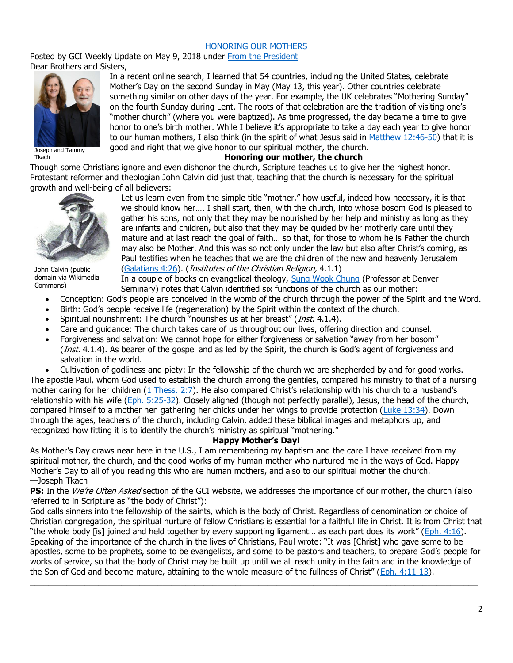### [HONORING OUR MOTHERS](https://update.gci.org/2018/05/honoring-our-mothers/)

Posted by GCI Weekly Update on May 9, 2018 under [From the President](https://update.gci.org/category/president/) | Dear Brothers and Sisters,



Joseph and Tammy Tkach

In a recent online search, I learned that 54 countries, including the United States, celebrate Mother's Day on the second Sunday in May (May 13, this year). Other countries celebrate something similar on other days of the year. For example, the UK celebrates "Mothering Sunday" on the fourth Sunday during Lent. The roots of that celebration are the tradition of visiting one's "mother church" (where you were baptized). As time progressed, the day became a time to give honor to one's birth mother. While I believe it's appropriate to take a day each year to give honor to our human mothers, I also think (in the spirit of what Jesus said in [Matthew 12:46-50\)](https://biblia.com/bible/niv/Matt%2012.46-50) that it is good and right that we give honor to our spiritual mother, the church.

#### **Honoring our mother, the church**

Though some Christians ignore and even dishonor the church, Scripture teaches us to give her the highest honor. Protestant reformer and theologian John Calvin did just that, teaching that the church is necessary for the spiritual growth and well-being of all believers:



John Calvin (public domain via Wikimedia Commons)

Let us learn even from the simple title "mother," how useful, indeed how necessary, it is that we should know her…. I shall start, then, with the church, into whose bosom God is pleased to gather his sons, not only that they may be nourished by her help and ministry as long as they are infants and children, but also that they may be guided by her motherly care until they mature and at last reach the goal of faith… so that, for those to whom he is Father the church may also be Mother. And this was so not only under the law but also after Christ's coming, as Paul testifies when he teaches that we are the children of the new and heavenly Jerusalem [\(Galatians 4:26\)](https://biblia.com/bible/niv/Gal%204.26). (Institutes of the Christian Religion, 4.1.1)

In a couple of books on evangelical theology, [Sung Wook Chung](https://denverseminary.edu/sung-wook-chung-publications/) (Professor at Denver Seminary) notes that Calvin identified six functions of the church as our mother:

- Conception: God's people are conceived in the womb of the church through the power of the Spirit and the Word.
- Birth: God's people receive life (regeneration) by the Spirit within the context of the church.
- Spiritual nourishment: The church "nourishes us at her breast" (*Inst.* 4.1.4).
- Care and guidance: The church takes care of us throughout our lives, offering direction and counsel.
- Forgiveness and salvation: We cannot hope for either forgiveness or salvation "away from her bosom" (Inst. 4.1.4). As bearer of the gospel and as led by the Spirit, the church is God's agent of forgiveness and salvation in the world.

• Cultivation of godliness and piety: In the fellowship of the church we are shepherded by and for good works. The apostle Paul, whom God used to establish the church among the gentiles, compared his ministry to that of a nursing mother caring for her children [\(1 Thess. 2:7\)](https://biblia.com/bible/niv/1%20Thess.%202.7). He also compared Christ's relationship with his church to a husband's relationship with his wife [\(Eph. 5:25-32\)](https://biblia.com/bible/niv/Eph.%205.25-32). Closely aligned (though not perfectly parallel), Jesus, the head of the church, compared himself to a mother hen gathering her chicks under her wings to provide protection [\(Luke 13:34\)](https://biblia.com/bible/niv/Luke%2013.34). Down through the ages, teachers of the church, including Calvin, added these biblical images and metaphors up, and recognized how fitting it is to identify the church's ministry as spiritual "mothering."

## **Happy Mother's Day!**

As Mother's Day draws near here in the U.S., I am remembering my baptism and the care I have received from my spiritual mother, the church, and the good works of my human mother who nurtured me in the ways of God. Happy Mother's Day to all of you reading this who are human mothers, and also to our spiritual mother the church. —Joseph Tkach

**PS:** In the *We're Often Asked* section of the GCI website, we addresses the importance of our mother, the church (also referred to in Scripture as "the body of Christ"):

God calls sinners into the fellowship of the saints, which is the body of Christ. Regardless of denomination or choice of Christian congregation, the spiritual nurture of fellow Christians is essential for a faithful life in Christ. It is from Christ that "the whole body [is] joined and held together by every supporting ligament… as each part does its work" ([Eph. 4:16\)](https://biblia.com/bible/niv/Eph.%204.16). Speaking of the importance of the church in the lives of Christians, Paul wrote: "It was [Christ] who gave some to be apostles, some to be prophets, some to be evangelists, and some to be pastors and teachers, to prepare God's people for works of service, so that the body of Christ may be built up until we all reach unity in the faith and in the knowledge of the Son of God and become mature, attaining to the whole measure of the fullness of Christ" ([Eph. 4:11-13\)](https://biblia.com/bible/niv/Eph.%204.11-13).  $\_$  , and the set of the set of the set of the set of the set of the set of the set of the set of the set of the set of the set of the set of the set of the set of the set of the set of the set of the set of the set of th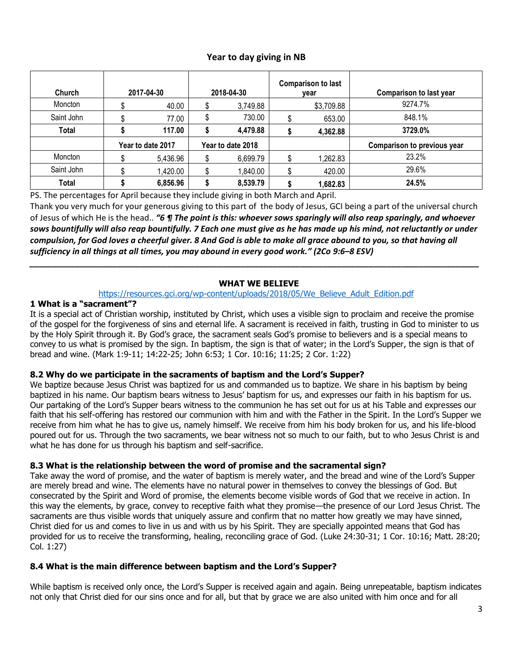# **Year to day giving in NB**

| <b>Church</b> | 2017-04-30        |          | 2018-04-30        |          | <b>Comparison to last</b><br>vear |            | <b>Comparison to last year</b> |
|---------------|-------------------|----------|-------------------|----------|-----------------------------------|------------|--------------------------------|
| Moncton       |                   | 40.00    |                   | 3,749.88 |                                   | \$3,709.88 | 9274.7%                        |
| Saint John    |                   | 77.00    |                   | 730.00   |                                   | 653.00     | 848.1%                         |
| Total         |                   | 117.00   |                   | 4,479.88 |                                   | 4,362.88   | 3729.0%                        |
|               | Year to date 2017 |          | Year to date 2018 |          |                                   |            | Comparison to previous year    |
| Moncton       |                   | 5,436.96 |                   | 6,699.79 |                                   | 1,262.83   | 23.2%                          |
| Saint John    |                   | .420.00  |                   | 1,840.00 |                                   | 420.00     | 29.6%                          |
| <b>Total</b>  |                   | 6,856.96 |                   | 8,539.79 |                                   | 1,682.83   | 24.5%                          |

PS. The percentages for April because they include giving in both March and April.

Thank you very much for your generous giving to this part of the body of Jesus, GCI being a part of the universal church of Jesus of which He is the head.. *"6 ¶ The point is this: whoever sows sparingly will also reap sparingly, and whoever sows bountifully will also reap bountifully. 7 Each one must give as he has made up his mind, not reluctantly or under compulsion, for God loves a cheerful giver. 8 And God is able to make all grace abound to you, so that having all sufficiency in all things at all times, you may abound in every good work." (2Co 9:6–8 ESV)*

## **WHAT WE BELIEVE**

### [https://resources.gci.org/wp-content/uploads/2018/05/We\\_Believe\\_Adult\\_Edition.pdf](https://resources.gci.org/wp-content/uploads/2018/05/We_Believe_Adult_Edition.pdf)

*\_\_\_\_\_\_\_\_\_\_\_\_\_\_\_\_\_\_\_\_\_\_\_\_\_\_\_\_\_\_\_\_\_\_\_\_\_\_\_\_\_\_\_\_\_\_\_\_\_\_\_\_\_\_\_\_\_\_\_\_\_\_\_\_\_\_\_\_\_\_\_\_\_\_\_\_\_\_\_\_\_\_\_\_\_\_\_\_\_\_\_\_\_\_\_\_\_\_*

## **1 What is a "sacrament"?**

It is a special act of Christian worship, instituted by Christ, which uses a visible sign to proclaim and receive the promise of the gospel for the forgiveness of sins and eternal life. A sacrament is received in faith, trusting in God to minister to us by the Holy Spirit through it. By God's grace, the sacrament seals God's promise to believers and is a special means to convey to us what is promised by the sign. In baptism, the sign is that of water; in the Lord's Supper, the sign is that of bread and wine. (Mark 1:9-11; 14:22-25; John 6:53; 1 Cor. 10:16; 11:25; 2 Cor. 1:22)

## **8.2 Why do we participate in the sacraments of baptism and the Lord's Supper?**

We baptize because Jesus Christ was baptized for us and commanded us to baptize. We share in his baptism by being baptized in his name. Our baptism bears witness to Jesus' baptism for us, and expresses our faith in his baptism for us. Our partaking of the Lord's Supper bears witness to the communion he has set out for us at his Table and expresses our faith that his self-offering has restored our communion with him and with the Father in the Spirit. In the Lord's Supper we receive from him what he has to give us, namely himself. We receive from him his body broken for us, and his life-blood poured out for us. Through the two sacraments, we bear witness not so much to our faith, but to who Jesus Christ is and what he has done for us through his baptism and self-sacrifice.

## **8.3 What is the relationship between the word of promise and the sacramental sign?**

Take away the word of promise, and the water of baptism is merely water, and the bread and wine of the Lord's Supper are merely bread and wine. The elements have no natural power in themselves to convey the blessings of God. But consecrated by the Spirit and Word of promise, the elements become visible words of God that we receive in action. In this way the elements, by grace, convey to receptive faith what they promise—the presence of our Lord Jesus Christ. The sacraments are thus visible words that uniquely assure and confirm that no matter how greatly we may have sinned, Christ died for us and comes to live in us and with us by his Spirit. They are specially appointed means that God has provided for us to receive the transforming, healing, reconciling grace of God. (Luke 24:30-31; 1 Cor. 10:16; Matt. 28:20; Col. 1:27)

## **8.4 What is the main difference between baptism and the Lord's Supper?**

While baptism is received only once, the Lord's Supper is received again and again. Being unrepeatable, baptism indicates not only that Christ died for our sins once and for all, but that by grace we are also united with him once and for all